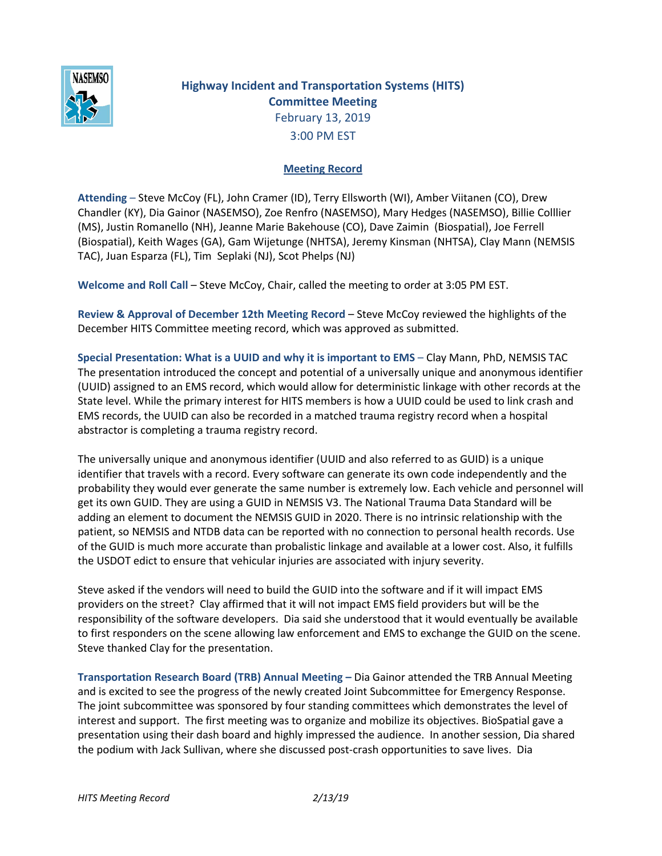

## **Highway Incident and Transportation Systems (HITS) Committee Meeting** February 13, 2019 3:00 PM EST

## **Meeting Record**

**Attending** – Steve McCoy (FL), John Cramer (ID), Terry Ellsworth (WI), Amber Viitanen (CO), Drew Chandler (KY), Dia Gainor (NASEMSO), Zoe Renfro (NASEMSO), Mary Hedges (NASEMSO), Billie Colllier (MS), Justin Romanello (NH), Jeanne Marie Bakehouse (CO), Dave Zaimin (Biospatial), Joe Ferrell (Biospatial), Keith Wages (GA), Gam Wijetunge (NHTSA), Jeremy Kinsman (NHTSA), Clay Mann (NEMSIS TAC), Juan Esparza (FL), Tim Seplaki (NJ), Scot Phelps (NJ)

**Welcome and Roll Call** – Steve McCoy, Chair, called the meeting to order at 3:05 PM EST.

**Review & Approval of December 12th Meeting Record** – Steve McCoy reviewed the highlights of the December HITS Committee meeting record, which was approved as submitted.

**Special Presentation: What is a UUID and why it is important to EMS** – Clay Mann, PhD, NEMSIS TAC The presentation introduced the concept and potential of a universally unique and anonymous identifier (UUID) assigned to an EMS record, which would allow for deterministic linkage with other records at the State level. While the primary interest for HITS members is how a UUID could be used to link crash and EMS records, the UUID can also be recorded in a matched trauma registry record when a hospital abstractor is completing a trauma registry record.

The universally unique and anonymous identifier (UUID and also referred to as GUID) is a unique identifier that travels with a record. Every software can generate its own code independently and the probability they would ever generate the same number is extremely low. Each vehicle and personnel will get its own GUID. They are using a GUID in NEMSIS V3. The National Trauma Data Standard will be adding an element to document the NEMSIS GUID in 2020. There is no intrinsic relationship with the patient, so NEMSIS and NTDB data can be reported with no connection to personal health records. Use of the GUID is much more accurate than probalistic linkage and available at a lower cost. Also, it fulfills the USDOT edict to ensure that vehicular injuries are associated with injury severity.

Steve asked if the vendors will need to build the GUID into the software and if it will impact EMS providers on the street? Clay affirmed that it will not impact EMS field providers but will be the responsibility of the software developers. Dia said she understood that it would eventually be available to first responders on the scene allowing law enforcement and EMS to exchange the GUID on the scene. Steve thanked Clay for the presentation.

**Transportation Research Board (TRB) Annual Meeting –** Dia Gainor attended the TRB Annual Meeting and is excited to see the progress of the newly created Joint Subcommittee for Emergency Response. The joint subcommittee was sponsored by four standing committees which demonstrates the level of interest and support. The first meeting was to organize and mobilize its objectives. BioSpatial gave a presentation using their dash board and highly impressed the audience. In another session, Dia shared the podium with Jack Sullivan, where she discussed post-crash opportunities to save lives. Dia